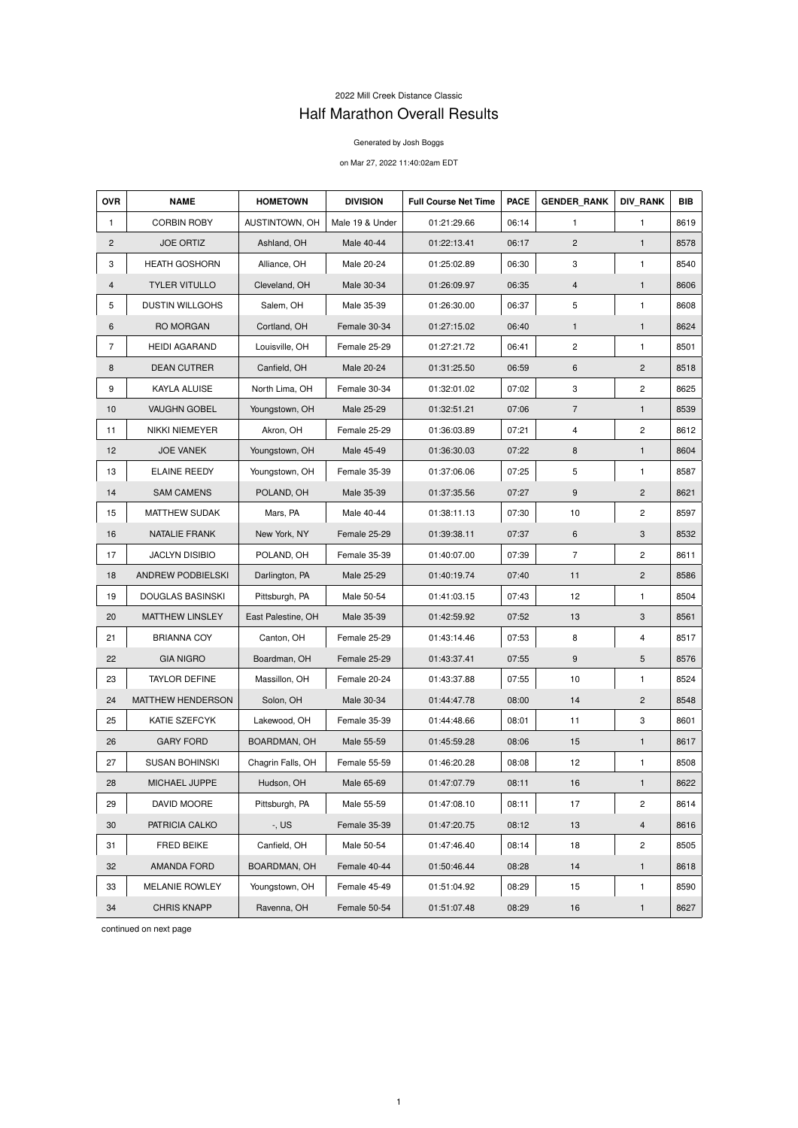## 2022 Mill Creek Distance Classic Half Marathon Overall Results

## Generated by Josh Boggs

## on Mar 27, 2022 11:40:02am EDT

| <b>OVR</b>     | <b>NAME</b>              | <b>HOMETOWN</b>    | <b>DIVISION</b> | <b>Full Course Net Time</b> | <b>PACE</b> | <b>GENDER RANK</b> | <b>DIV RANK</b> | <b>BIB</b> |
|----------------|--------------------------|--------------------|-----------------|-----------------------------|-------------|--------------------|-----------------|------------|
| $\mathbf{1}$   | <b>CORBIN ROBY</b>       | AUSTINTOWN, OH     | Male 19 & Under | 01:21:29.66                 | 06:14       | 1                  | 1               | 8619       |
| $\overline{2}$ | <b>JOE ORTIZ</b>         | Ashland, OH        | Male 40-44      | 01:22:13.41                 | 06:17       | $\overline{c}$     | $\mathbf{1}$    | 8578       |
| 3              | <b>HEATH GOSHORN</b>     | Alliance, OH       | Male 20-24      | 01:25:02.89                 | 06:30       | 3                  | 1               | 8540       |
| 4              | <b>TYLER VITULLO</b>     | Cleveland, OH      | Male 30-34      | 01:26:09.97                 | 06:35       | $\overline{4}$     | 1               | 8606       |
| 5              | <b>DUSTIN WILLGOHS</b>   | Salem, OH          | Male 35-39      | 01:26:30.00                 | 06:37       | 5                  | 1               | 8608       |
| 6              | RO MORGAN                | Cortland, OH       | Female 30-34    | 01:27:15.02                 | 06:40       | $\mathbf{1}$       | $\mathbf{1}$    | 8624       |
| $\overline{7}$ | <b>HEIDI AGARAND</b>     | Louisville, OH     | Female 25-29    | 01:27:21.72                 | 06:41       | $\mathbf{2}$       | 1               | 8501       |
| 8              | <b>DEAN CUTRER</b>       | Canfield, OH       | Male 20-24      | 01:31:25.50                 | 06:59       | 6                  | $\overline{2}$  | 8518       |
| 9              | KAYLA ALUISE             | North Lima, OH     | Female 30-34    | 01:32:01.02                 | 07:02       | 3                  | $\overline{c}$  | 8625       |
| 10             | <b>VAUGHN GOBEL</b>      | Youngstown, OH     | Male 25-29      | 01:32:51.21                 | 07:06       | $\overline{7}$     | $\mathbf{1}$    | 8539       |
| 11             | <b>NIKKI NIEMEYER</b>    | Akron, OH          | Female 25-29    | 01:36:03.89                 | 07:21       | 4                  | $\overline{c}$  | 8612       |
| 12             | <b>JOE VANEK</b>         | Youngstown, OH     | Male 45-49      | 01:36:30.03                 | 07:22       | 8                  | $\mathbf{1}$    | 8604       |
| 13             | <b>ELAINE REEDY</b>      | Youngstown, OH     | Female 35-39    | 01:37:06.06                 | 07:25       | 5                  | 1               | 8587       |
| 14             | <b>SAM CAMENS</b>        | POLAND, OH         | Male 35-39      | 01:37:35.56                 | 07:27       | 9                  | $\overline{2}$  | 8621       |
| 15             | MATTHEW SUDAK            | Mars, PA           | Male 40-44      | 01:38:11.13                 | 07:30       | 10                 | $\mathbf{2}$    | 8597       |
| 16             | NATALIE FRANK            | New York, NY       | Female 25-29    | 01:39:38.11                 | 07:37       | 6                  | 3               | 8532       |
| 17             | <b>JACLYN DISIBIO</b>    | POLAND, OH         | Female 35-39    | 01:40:07.00                 | 07:39       | $\overline{7}$     | $\mathbf{2}$    | 8611       |
| 18             | <b>ANDREW PODBIELSKI</b> | Darlington, PA     | Male 25-29      | 01:40:19.74                 | 07:40       | 11                 | $\overline{c}$  | 8586       |
| 19             | <b>DOUGLAS BASINSKI</b>  | Pittsburgh, PA     | Male 50-54      | 01:41:03.15                 | 07:43       | 12                 | 1               | 8504       |
| 20             | <b>MATTHEW LINSLEY</b>   | East Palestine, OH | Male 35-39      | 01:42:59.92                 | 07:52       | 13                 | 3               | 8561       |
| 21             | <b>BRIANNA COY</b>       | Canton, OH         | Female 25-29    | 01:43:14.46                 | 07:53       | 8                  | 4               | 8517       |
| 22             | <b>GIA NIGRO</b>         | Boardman, OH       | Female 25-29    | 01:43:37.41                 | 07:55       | 9                  | 5               | 8576       |
| 23             | <b>TAYLOR DEFINE</b>     | Massillon, OH      | Female 20-24    | 01:43:37.88                 | 07:55       | 10                 | 1               | 8524       |
| 24             | <b>MATTHEW HENDERSON</b> | Solon, OH          | Male 30-34      | 01:44:47.78                 | 08:00       | 14                 | $\overline{2}$  | 8548       |
| 25             | KATIE SZEFCYK            | Lakewood, OH       | Female 35-39    | 01:44:48.66                 | 08:01       | 11                 | 3               | 8601       |
| 26             | <b>GARY FORD</b>         | BOARDMAN, OH       | Male 55-59      | 01:45:59.28                 | 08:06       | 15                 | $\mathbf{1}$    | 8617       |
| 27             | <b>SUSAN BOHINSKI</b>    | Chagrin Falls, OH  | Female 55-59    | 01:46:20.28                 | 08:08       | 12                 | 1               | 8508       |
| 28             | MICHAEL JUPPE            | Hudson, OH         | Male 65-69      | 01:47:07.79                 | 08:11       | 16                 | $\mathbf{1}$    | 8622       |
| 29             | DAVID MOORE              | Pittsburgh, PA     | Male 55-59      | 01:47:08.10                 | 08:11       | 17                 | $\overline{c}$  | 8614       |
| 30             | PATRICIA CALKO           | $-$ , US           | Female 35-39    | 01:47:20.75                 | 08:12       | 13                 | $\overline{4}$  | 8616       |
| 31             | <b>FRED BEIKE</b>        | Canfield, OH       | Male 50-54      | 01:47:46.40                 | 08:14       | 18                 | $\overline{c}$  | 8505       |
| 32             | AMANDA FORD              | BOARDMAN, OH       | Female 40-44    | 01:50:46.44                 | 08:28       | 14                 | 1               | 8618       |
| 33             | MELANIE ROWLEY           | Youngstown, OH     | Female 45-49    | 01:51:04.92                 | 08:29       | 15                 | 1               | 8590       |
| 34             | <b>CHRIS KNAPP</b>       | Ravenna, OH        | Female 50-54    | 01:51:07.48                 | 08:29       | 16                 | $\mathbf{1}$    | 8627       |

continued on next page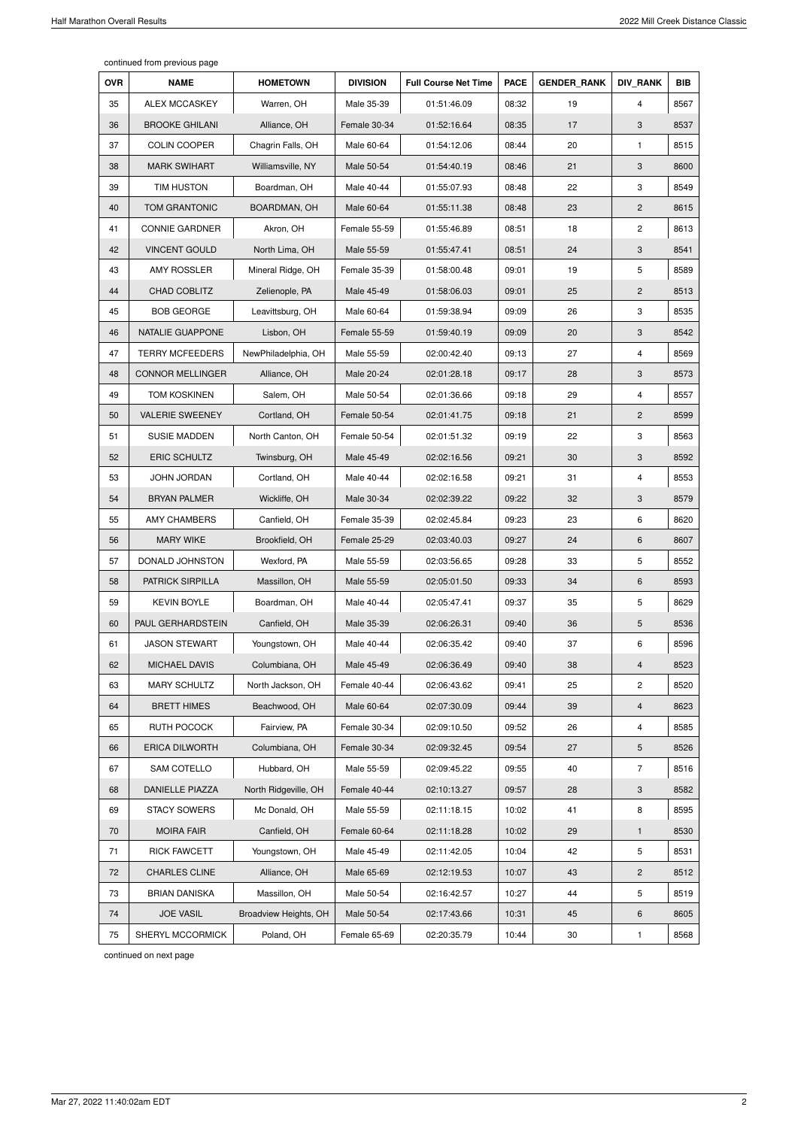continued from previous page

| <b>OVR</b> | <b>NAME</b>             | <b>HOMETOWN</b>       | <b>DIVISION</b> | <b>Full Course Net Time</b> | <b>PACE</b> | <b>GENDER RANK</b> | <b>DIV RANK</b>           | <b>BIB</b> |
|------------|-------------------------|-----------------------|-----------------|-----------------------------|-------------|--------------------|---------------------------|------------|
| 35         | <b>ALEX MCCASKEY</b>    | Warren, OH            | Male 35-39      | 01:51:46.09                 | 08:32       | 19                 | 4                         | 8567       |
| 36         | <b>BROOKE GHILANI</b>   | Alliance, OH          | Female 30-34    | 01:52:16.64                 | 08:35       | 17                 | $\sqrt{3}$                | 8537       |
| 37         | COLIN COOPER            | Chagrin Falls, OH     | Male 60-64      | 01:54:12.06                 | 08:44       | 20                 | $\mathbf{1}$              | 8515       |
| 38         | <b>MARK SWIHART</b>     | Williamsville, NY     | Male 50-54      | 01:54:40.19                 | 08:46       | 21                 | $\ensuremath{\mathsf{3}}$ | 8600       |
| 39         | <b>TIM HUSTON</b>       | Boardman, OH          | Male 40-44      | 01:55:07.93                 | 08:48       | 22                 | 3                         | 8549       |
| 40         | <b>TOM GRANTONIC</b>    | BOARDMAN, OH          | Male 60-64      | 01:55:11.38                 | 08:48       | 23                 | $\overline{2}$            | 8615       |
| 41         | <b>CONNIE GARDNER</b>   | Akron, OH             | Female 55-59    | 01:55:46.89                 | 08:51       | 18                 | $\overline{c}$            | 8613       |
| 42         | <b>VINCENT GOULD</b>    | North Lima, OH        | Male 55-59      | 01:55:47.41                 | 08:51       | 24                 | 3                         | 8541       |
| 43         | <b>AMY ROSSLER</b>      | Mineral Ridge, OH     | Female 35-39    | 01:58:00.48                 | 09:01       | 19                 | 5                         | 8589       |
| 44         | CHAD COBLITZ            | Zelienople, PA        | Male 45-49      | 01:58:06.03                 | 09:01       | 25                 | $\mathbf{2}$              | 8513       |
| 45         | <b>BOB GEORGE</b>       | Leavittsburg, OH      | Male 60-64      | 01:59:38.94                 | 09:09       | 26                 | 3                         | 8535       |
| 46         | NATALIE GUAPPONE        | Lisbon, OH            | Female 55-59    | 01:59:40.19                 | 09:09       | 20                 | 3                         | 8542       |
| 47         | <b>TERRY MCFEEDERS</b>  | NewPhiladelphia, OH   | Male 55-59      | 02:00:42.40                 | 09:13       | 27                 | $\overline{\mathbf{4}}$   | 8569       |
| 48         | <b>CONNOR MELLINGER</b> | Alliance, OH          | Male 20-24      | 02:01:28.18                 | 09:17       | 28                 | 3                         | 8573       |
| 49         | <b>TOM KOSKINEN</b>     | Salem, OH             | Male 50-54      | 02:01:36.66                 | 09:18       | 29                 | 4                         | 8557       |
| 50         | <b>VALERIE SWEENEY</b>  | Cortland, OH          | Female 50-54    | 02:01:41.75                 | 09:18       | 21                 | $\mathbf{2}$              | 8599       |
| 51         | <b>SUSIE MADDEN</b>     | North Canton, OH      | Female 50-54    | 02:01:51.32                 | 09:19       | 22                 | 3                         | 8563       |
| 52         | <b>ERIC SCHULTZ</b>     | Twinsburg, OH         | Male 45-49      | 02:02:16.56                 | 09:21       | 30                 | 3                         | 8592       |
| 53         | <b>JOHN JORDAN</b>      | Cortland, OH          | Male 40-44      | 02:02:16.58                 | 09:21       | 31                 | $\overline{\mathbf{4}}$   | 8553       |
| 54         | <b>BRYAN PALMER</b>     | Wickliffe, OH         | Male 30-34      | 02:02:39.22                 | 09:22       | 32                 | 3                         | 8579       |
| 55         | <b>AMY CHAMBERS</b>     | Canfield, OH          | Female 35-39    | 02:02:45.84                 | 09:23       | 23                 | 6                         | 8620       |
| 56         | <b>MARY WIKE</b>        | Brookfield, OH        | Female 25-29    | 02:03:40.03                 | 09:27       | 24                 | $\,6$                     | 8607       |
| 57         | DONALD JOHNSTON         | Wexford, PA           | Male 55-59      | 02:03:56.65                 | 09:28       | 33                 | $\mathbf 5$               | 8552       |
| 58         | PATRICK SIRPILLA        | Massillon, OH         | Male 55-59      | 02:05:01.50                 | 09:33       | 34                 | $\,6$                     | 8593       |
| 59         | <b>KEVIN BOYLE</b>      | Boardman, OH          | Male 40-44      | 02:05:47.41                 | 09:37       | 35                 | 5                         | 8629       |
| 60         | PAUL GERHARDSTEIN       | Canfield, OH          | Male 35-39      | 02:06:26.31                 | 09:40       | 36                 | $\sqrt{5}$                | 8536       |
| 61         | <b>JASON STEWART</b>    | Youngstown, OH        | Male 40-44      | 02:06:35.42                 | 09:40       | 37                 | 6                         | 8596       |
| 62         | MICHAEL DAVIS           | Columbiana, OH        | Male 45-49      | 02:06:36.49                 | 09:40       | 38                 | $\overline{4}$            | 8523       |
| 63         | <b>MARY SCHULTZ</b>     | North Jackson, OH     | Female 40-44    | 02:06:43.62                 | 09:41       | 25                 | $\mathbf{2}$              | 8520       |
| 64         | <b>BRETT HIMES</b>      | Beachwood, OH         | Male 60-64      | 02:07:30.09                 | 09:44       | 39                 | $\overline{4}$            | 8623       |
| 65         | RUTH POCOCK             | Fairview, PA          | Female 30-34    | 02:09:10.50                 | 09:52       | 26                 | $\overline{\mathbf{4}}$   | 8585       |
| 66         | <b>ERICA DILWORTH</b>   | Columbiana, OH        | Female 30-34    | 02:09:32.45                 | 09:54       | 27                 | $\sqrt{5}$                | 8526       |
| 67         | SAM COTELLO             | Hubbard, OH           | Male 55-59      | 02:09:45.22                 | 09:55       | 40                 | $\overline{7}$            | 8516       |
| 68         | DANIELLE PIAZZA         | North Ridgeville, OH  | Female 40-44    | 02:10:13.27                 | 09:57       | 28                 | 3                         | 8582       |
| 69         | <b>STACY SOWERS</b>     | Mc Donald, OH         | Male 55-59      | 02:11:18.15                 | 10:02       | 41                 | 8                         | 8595       |
| 70         | <b>MOIRA FAIR</b>       | Canfield, OH          | Female 60-64    | 02:11:18.28                 | 10:02       | 29                 | $\mathbf{1}$              | 8530       |
| 71         | <b>RICK FAWCETT</b>     | Youngstown, OH        | Male 45-49      | 02:11:42.05                 | 10:04       | 42                 | 5                         | 8531       |
| 72         | <b>CHARLES CLINE</b>    | Alliance, OH          | Male 65-69      | 02:12:19.53                 | 10:07       | 43                 | $\overline{c}$            | 8512       |
| 73         | <b>BRIAN DANISKA</b>    | Massillon, OH         | Male 50-54      | 02:16:42.57                 | 10:27       | 44                 | 5                         | 8519       |
| 74         | <b>JOE VASIL</b>        | Broadview Heights, OH | Male 50-54      | 02:17:43.66                 | 10:31       | 45                 | $\,6\,$                   | 8605       |
| 75         | SHERYL MCCORMICK        | Poland, OH            | Female 65-69    | 02:20:35.79                 | 10:44       | 30                 | $\mathbf{1}$              | 8568       |

continued on next page